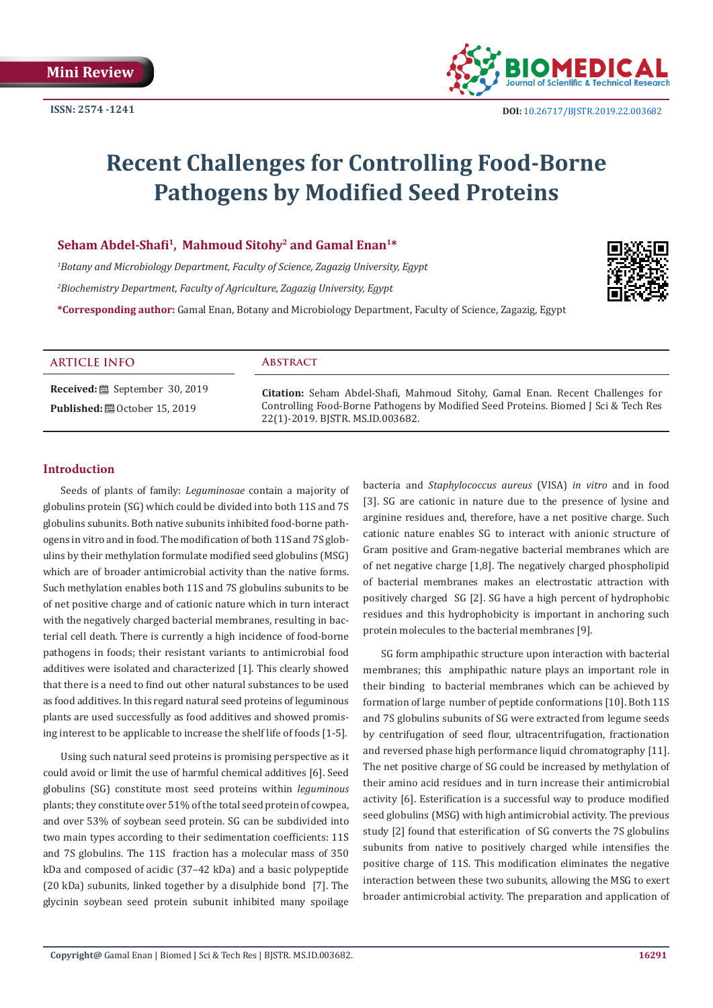

# **Recent Challenges for Controlling Food-Borne Pathogens by Modified Seed Proteins**

# **Seham Abdel-Shafi1, Mahmoud Sitohy2 and Gamal Enan1\***

*1 Botany and Microbiology Department, Faculty of Science, Zagazig University, Egypt 2 Biochemistry Department, Faculty of Agriculture, Zagazig University, Egypt*



| <b>ARTICLE INFO</b> | <b>ABSTRACT</b>                                                                                                                                                                                           |
|---------------------|-----------------------------------------------------------------------------------------------------------------------------------------------------------------------------------------------------------|
|                     | Citation: Seham Abdel-Shafi, Mahmoud Sitohy, Gamal Enan. Recent Challenges for<br>Controlling Food-Borne Pathogens by Modified Seed Proteins. Biomed J Sci & Tech Res<br>22(1)-2019. BISTR. MS.ID.003682. |

# **Introduction**

Seeds of plants of family: *Leguminosae* contain a majority of globulins protein (SG) which could be divided into both 11S and 7S globulins subunits. Both native subunits inhibited food-borne pathogens in vitro and in food. The modification of both 11S and 7S globulins by their methylation formulate modified seed globulins (MSG) which are of broader antimicrobial activity than the native forms. Such methylation enables both 11S and 7S globulins subunits to be of net positive charge and of cationic nature which in turn interact with the negatively charged bacterial membranes, resulting in bacterial cell death. There is currently a high incidence of food-borne pathogens in foods; their resistant variants to antimicrobial food additives were isolated and characterized [1]. This clearly showed that there is a need to find out other natural substances to be used as food additives. In this regard natural seed proteins of leguminous plants are used successfully as food additives and showed promising interest to be applicable to increase the shelf life of foods [1-5].

Using such natural seed proteins is promising perspective as it could avoid or limit the use of harmful chemical additives [6]. Seed globulins (SG) constitute most seed proteins within *leguminous*  plants; they constitute over 51% of the total seed protein of cowpea, and over 53% of soybean seed protein. SG can be subdivided into two main types according to their sedimentation coefficients: 11S and 7S globulins. The 11S fraction has a molecular mass of 350 kDa and composed of acidic (37–42 kDa) and a basic polypeptide (20 kDa) subunits, linked together by a disulphide bond [7]. The glycinin soybean seed protein subunit inhibited many spoilage

bacteria and *Staphylococcus aureus* (VISA) *in vitro* and in food [3]. SG are cationic in nature due to the presence of lysine and arginine residues and, therefore, have a net positive charge. Such cationic nature enables SG to interact with anionic structure of Gram positive and Gram-negative bacterial membranes which are of net negative charge [1,8]. The negatively charged phospholipid of bacterial membranes makes an electrostatic attraction with positively charged SG [2]. SG have a high percent of hydrophobic residues and this hydrophobicity is important in anchoring such protein molecules to the bacterial membranes [9].

SG form amphipathic structure upon interaction with bacterial membranes; this amphipathic nature plays an important role in their binding to bacterial membranes which can be achieved by formation of large number of peptide conformations [10]. Both 11S and 7S globulins subunits of SG were extracted from legume seeds by centrifugation of seed flour, ultracentrifugation, fractionation and reversed phase high performance liquid chromatography [11]. The net positive charge of SG could be increased by methylation of their amino acid residues and in turn increase their antimicrobial activity [6]. Esterification is a successful way to produce modified seed globulins (MSG) with high antimicrobial activity. The previous study [2] found that esterification of SG converts the 7S globulins subunits from native to positively charged while intensifies the positive charge of 11S. This modification eliminates the negative interaction between these two subunits, allowing the MSG to exert broader antimicrobial activity. The preparation and application of